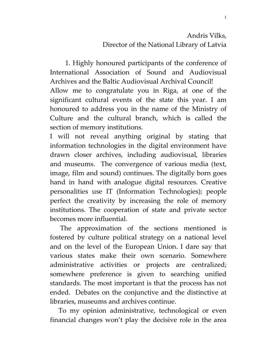## Andris Vilks, Director of the National Library of Latvia

1. Highly honoured participants of the conference of International Association of Sound and Audiovisual Archives and the Baltic Audiovisual Archival Council! Allow me to congratulate you in Riga, at one of the significant cultural events of the state this year. I am honoured to address you in the name of the Ministry of Culture and the cultural branch, which is called the section of memory institutions.

I will not reveal anything original by stating that information technologies in the digital environment have drawn closer archives, including audiovisual, libraries and museums. The convergence of various media (text, image, film and sound) continues. The digitally born goes hand in hand with analogue digital resources. Creative personalities use IT (Information Technologies); people perfect the creativity by increasing the role of memory institutions. The cooperation of state and private sector becomes more influential.

 The approximation of the sections mentioned is fostered by culture political strategy on a national level and on the level of the European Union. I dare say that various states make their own scenario. Somewhere administrative activities or projects are centralized; somewhere preference is given to searching unified standards. The most important is that the process has not ended. Debates on the conjunctive and the distinctive at libraries, museums and archives continue.

 To my opinion administrative, technological or even financial changes won't play the decisive role in the area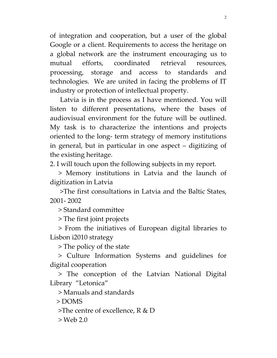of integration and cooperation, but a user of the global Google or a client. Requirements to access the heritage on a global network are the instrument encouraging us to mutual efforts, coordinated retrieval resources, processing, storage and access to standards and technologies. We are united in facing the problems of IT industry or protection of intellectual property.

 Latvia is in the process as I have mentioned. You will listen to different presentations, where the bases of audiovisual environment for the future will be outlined. My task is to characterize the intentions and projects oriented to the long- term strategy of memory institutions in general, but in particular in one aspect – digitizing of the existing heritage.

2. I will touch upon the following subjects in my report.

 > Memory institutions in Latvia and the launch of digitization in Latvia

 >The first consultations in Latvia and the Baltic States, 2001- 2002

> Standard committee

> The first joint projects

 > From the initiatives of European digital libraries to Lisbon i2010 strategy

> The policy of the state

 > Culture Information Systems and guidelines for digital cooperation

 > The conception of the Latvian National Digital Library "Letonica"

> Manuals and standards

> DOMS

>The centre of excellence, R & D

> Web 2.0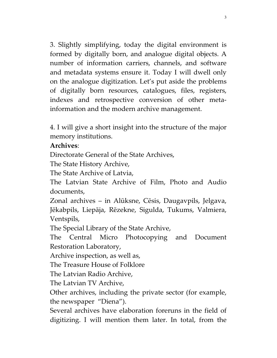3. Slightly simplifying, today the digital environment is formed by digitally born, and analogue digital objects. A number of information carriers, channels, and software and metadata systems ensure it. Today I will dwell only on the analogue digitization. Let's put aside the problems of digitally born resources, catalogues, files, registers, indexes and retrospective conversion of other metainformation and the modern archive management.

4. I will give a short insight into the structure of the major memory institutions.

#### Archives:

Directorate General of the State Archives,

The State History Archive,

The State Archive of Latvia,

The Latvian State Archive of Film, Photo and Audio documents,

Zonal archives – in Alūksne, Cēsis, Daugavpils, Jelgava, Jēkabpils, Liepāja, Rēzekne, Sigulda, Tukums, Valmiera, Ventspils,

The Special Library of the State Archive,

The Central Micro Photocopying and Document Restoration Laboratory,

Archive inspection, as well as,

The Treasure House of Folklore

The Latvian Radio Archive,

The Latvian TV Archive,

Other archives, including the private sector (for example, the newspaper "Diena").

Several archives have elaboration foreruns in the field of digitizing. I will mention them later. In total, from the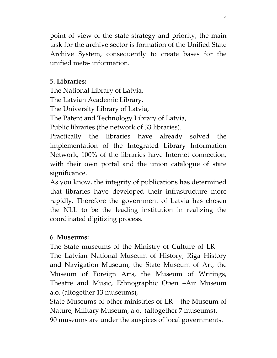point of view of the state strategy and priority, the main task for the archive sector is formation of the Unified State Archive System, consequently to create bases for the unified meta- information.

## 5. Libraries:

The National Library of Latvia, The Latvian Academic Library, The University Library of Latvia, The Patent and Technology Library of Latvia, Public libraries (the network of 33 libraries). Practically the libraries have already solved the implementation of the Integrated Library Information Network, 100% of the libraries have Internet connection, with their own portal and the union catalogue of state significance.

As you know, the integrity of publications has determined that libraries have developed their infrastructure more rapidly. Therefore the government of Latvia has chosen the NLL to be the leading institution in realizing the coordinated digitizing process.

## 6. Museums:

The State museums of the Ministry of Culture of LR – The Latvian National Museum of History, Riga History and Navigation Museum, the State Museum of Art, the Museum of Foreign Arts, the Museum of Writings, Theatre and Music, Ethnographic Open –Air Museum a.o. (altogether 13 museums),

State Museums of other ministries of LR – the Museum of Nature, Military Museum, a.o. (altogether 7 museums). 90 museums are under the auspices of local governments.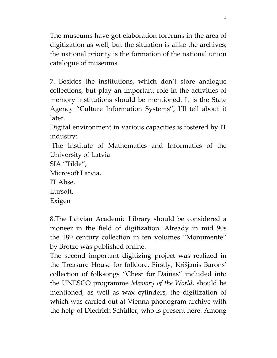The museums have got elaboration foreruns in the area of digitization as well, but the situation is alike the archives; the national priority is the formation of the national union catalogue of museums.

7. Besides the institutions, which don't store analogue collections, but play an important role in the activities of memory institutions should be mentioned. It is the State Agency "Culture Information Systems", I'll tell about it later.

Digital environment in various capacities is fostered by IT industry:

 The Institute of Mathematics and Informatics of the University of Latvia

SIA "Tilde", Microsoft Latvia, IT Alise, Lursoft,

Exigen

8.The Latvian Academic Library should be considered a pioneer in the field of digitization. Already in mid 90s the  $18<sup>th</sup>$  century collection in ten volumes "Monumente" by Brotze was published online.

The second important digitizing project was realized in the Treasure House for folklore. Firstly, Krišjanis Barons' collection of folksongs "Chest for Dainas" included into the UNESCO programme Memory of the World, should be mentioned, as well as wax cylinders, the digitization of which was carried out at Vienna phonogram archive with the help of Diedrich Schüller, who is present here. Among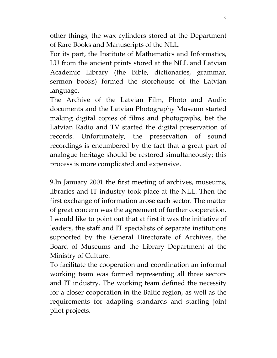other things, the wax cylinders stored at the Department of Rare Books and Manuscripts of the NLL.

For its part, the Institute of Mathematics and Informatics, LU from the ancient prints stored at the NLL and Latvian Academic Library (the Bible, dictionaries, grammar, sermon books) formed the storehouse of the Latvian language.

The Archive of the Latvian Film, Photo and Audio documents and the Latvian Photography Museum started making digital copies of films and photographs, bet the Latvian Radio and TV started the digital preservation of records. Unfortunately, the preservation of sound recordings is encumbered by the fact that a great part of analogue heritage should be restored simultaneously; this process is more complicated and expensive.

9.In January 2001 the first meeting of archives, museums, libraries and IT industry took place at the NLL. Then the first exchange of information arose each sector. The matter of great concern was the agreement of further cooperation. I would like to point out that at first it was the initiative of leaders, the staff and IT specialists of separate institutions supported by the General Directorate of Archives, the Board of Museums and the Library Department at the Ministry of Culture.

To facilitate the cooperation and coordination an informal working team was formed representing all three sectors and IT industry. The working team defined the necessity for a closer cooperation in the Baltic region, as well as the requirements for adapting standards and starting joint pilot projects.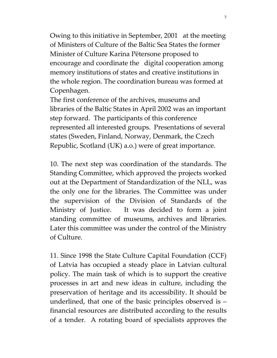Owing to this initiative in September, 2001 at the meeting of Ministers of Culture of the Baltic Sea States the former Minister of Culture Karina Pētersone proposed to encourage and coordinate the digital cooperation among memory institutions of states and creative institutions in the whole region. The coordination bureau was formed at Copenhagen.

The first conference of the archives, museums and libraries of the Baltic States in April 2002 was an important step forward. The participants of this conference represented all interested groups. Presentations of several states (Sweden, Finland, Norway, Denmark, the Czech Republic, Scotland (UK) a.o.) were of great importance.

10. The next step was coordination of the standards. The Standing Committee, which approved the projects worked out at the Department of Standardization of the NLL, was the only one for the libraries. The Committee was under the supervision of the Division of Standards of the Ministry of Justice. It was decided to form a joint standing committee of museums, archives and libraries. Later this committee was under the control of the Ministry of Culture.

11. Since 1998 the State Culture Capital Foundation (CCF) of Latvia has occupied a steady place in Latvian cultural policy. The main task of which is to support the creative processes in art and new ideas in culture, including the preservation of heritage and its accessibility. It should be underlined, that one of the basic principles observed is – financial resources are distributed according to the results of a tender. A rotating board of specialists approves the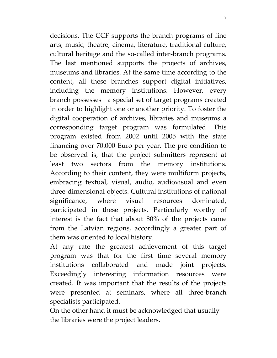decisions. The CCF supports the branch programs of fine arts, music, theatre, cinema, literature, traditional culture, cultural heritage and the so-called inter-branch programs. The last mentioned supports the projects of archives, museums and libraries. At the same time according to the content, all these branches support digital initiatives, including the memory institutions. However, every branch possesses a special set of target programs created in order to highlight one or another priority. To foster the digital cooperation of archives, libraries and museums a corresponding target program was formulated. This program existed from 2002 until 2005 with the state financing over 70.000 Euro per year. The pre-condition to be observed is, that the project submitters represent at least two sectors from the memory institutions. According to their content, they were multiform projects, embracing textual, visual, audio, audiovisual and even three-dimensional objects. Cultural institutions of national significance, where visual resources dominated, participated in these projects. Particularly worthy of interest is the fact that about 80% of the projects came from the Latvian regions, accordingly a greater part of them was oriented to local history.

At any rate the greatest achievement of this target program was that for the first time several memory institutions collaborated and made joint projects. Exceedingly interesting information resources were created. It was important that the results of the projects were presented at seminars, where all three-branch specialists participated.

On the other hand it must be acknowledged that usually the libraries were the project leaders.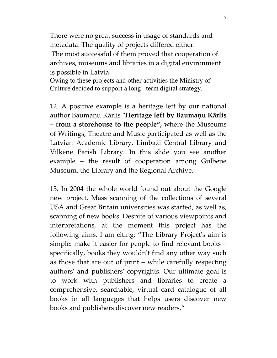There were no great success in usage of standards and metadata. The quality of projects differed either.

 The most successful of them proved that cooperation of archives, museums and libraries in a digital environment is possible in Latvia.

Owing to these projects and other activities the Ministry of Culture decided to support a long –term digital strategy.

12. A positive example is a heritage left by our national author Baumaņu Kārlis "Heritage left by Baumaņu Kārlis – from a storehouse to the people", where the Museums of Writings, Theatre and Music participated as well as the Latvian Academic Library, Limbaži Central Library and Viļķene Parish Library. In this slide you see another example – the result of cooperation among Gulbene Museum, the Library and the Regional Archive.

13. In 2004 the whole world found out about the Google new project. Mass scanning of the collections of several USA and Great Britain universities was started, as well as, scanning of new books. Despite of various viewpoints and interpretations, at the moment this project has the following aims, I am citing: "The Library Project's aim is simple: make it easier for people to find relevant books – specifically, books they wouldn't find any other way such as those that are out of print – while carefully respecting authors' and publishers' copyrights. Our ultimate goal is to work with publishers and libraries to create a comprehensive, searchable, virtual card catalogue of all books in all languages that helps users discover new books and publishers discover new readers."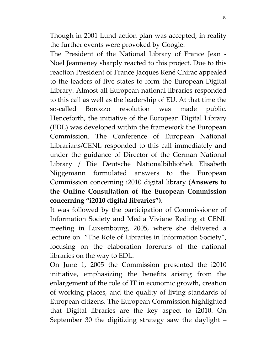Though in 2001 Lund action plan was accepted, in reality the further events were provoked by Google.

The President of the National Library of France Jean - Noël Jeanneney sharply reacted to this project. Due to this reaction President of France Jacques René Chirac appealed to the leaders of five states to form the European Digital Library. Almost all European national libraries responded to this call as well as the leadership of EU. At that time the so-called Borozzo resolution was made public. Henceforth, the initiative of the European Digital Library (EDL) was developed within the framework the European Commission. The Conference of European National Librarians/CENL responded to this call immediately and under the guidance of Director of the German National Library / Die Deutsche Nationalbibliothek Elisabeth Niggemann formulated answers to the European Commission concerning i2010 digital library (Answers to the Online Consultation of the European Commission concerning "i2010 digital libraries").

It was followed by the participation of Commissioner of Information Society and Media Viviane Reding at CENL meeting in Luxembourg, 2005, where she delivered a lecture on "The Role of Libraries in Information Society", focusing on the elaboration foreruns of the national libraries on the way to EDL.

On June 1, 2005 the Commission presented the i2010 initiative, emphasizing the benefits arising from the enlargement of the role of IT in economic growth, creation of working places, and the quality of living standards of European citizens. The European Commission highlighted that Digital libraries are the key aspect to i2010. On September 30 the digitizing strategy saw the daylight –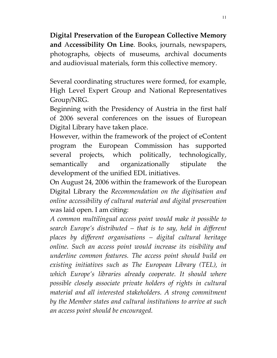Digital Preservation of the European Collective Memory and Accessibility On Line. Books, journals, newspapers, photographs, objects of museums, archival documents and audiovisual materials, form this collective memory.

Several coordinating structures were formed, for example, High Level Expert Group and National Representatives Group/NRG.

Beginning with the Presidency of Austria in the first half of 2006 several conferences on the issues of European Digital Library have taken place.

However, within the framework of the project of eContent program the European Commission has supported several projects, which politically, technologically, semantically and organizationally stipulate the development of the unified EDL initiatives.

On August 24, 2006 within the framework of the European Digital Library the Recommendation on the digitisation and online accessibility of cultural material and digital preservation was laid open. I am citing:

A common multilingual access point would make it possible to search Europe's distributed – that is to say, held in different places by different organisations – digital cultural heritage online. Such an access point would increase its visibility and underline common features. The access point should build on existing initiatives such as The European Library (TEL), in which Europe's libraries already cooperate. It should where possible closely associate private holders of rights in cultural material and all interested stakeholders. A strong commitment by the Member states and cultural institutions to arrive at such an access point should be encouraged.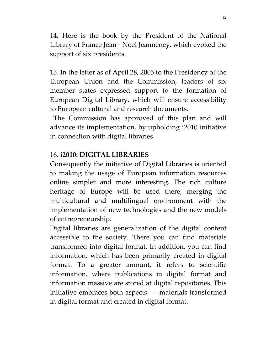14. Here is the book by the President of the National Library of France Jean - Noel Jeanneney, which evoked the support of six presidents.

15. In the letter as of April 28, 2005 to the Presidency of the European Union and the Commission, leaders of six member states expressed support to the formation of European Digital Library, which will ensure accessibility to European cultural and research documents.

 The Commission has approved of this plan and will advance its implementation, by upholding i2010 initiative in connection with digital libraries.

### 16. i2010: DIGITAL LIBRARIES

Consequently the initiative of Digital Libraries is oriented to making the usage of European information resources online simpler and more interesting. The rich culture heritage of Europe will be used there, merging the multicultural and multilingual environment with the implementation of new technologies and the new models of entrepreneurship.

Digital libraries are generalization of the digital content accessible to the society. There you can find materials transformed into digital format. In addition, you can find information, which has been primarily created in digital format. To a greater amount, it refers to scientific information, where publications in digital format and information massive are stored at digital repositories. This initiative embraces both aspects – materials transformed in digital format and created in digital format.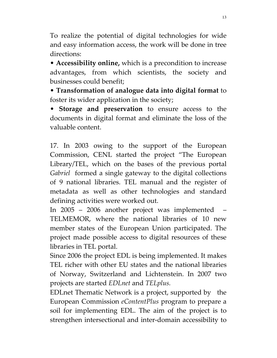To realize the potential of digital technologies for wide and easy information access, the work will be done in tree directions:

• Accessibility online, which is a precondition to increase advantages, from which scientists, the society and businesses could benefit;

• Transformation of analogue data into digital format to foster its wider application in the society;

• Storage and preservation to ensure access to the documents in digital format and eliminate the loss of the valuable content.

17. In 2003 owing to the support of the European Commission, CENL started the project "The European Library/TEL, which on the bases of the previous portal Gabriel formed a single gateway to the digital collections of 9 national libraries. TEL manual and the register of metadata as well as other technologies and standard defining activities were worked out.

In  $2005 - 2006$  another project was implemented TELMEMOR, where the national libraries of 10 new member states of the European Union participated. The project made possible access to digital resources of these libraries in TEL portal.

Since 2006 the project EDL is being implemented. It makes TEL richer with other EU states and the national libraries of Norway, Switzerland and Lichtenstein. In 2007 two projects are started EDLnet and TELplus.

EDLnet Thematic Network is a project, supported by the European Commission eContentPlus program to prepare a soil for implementing EDL. The aim of the project is to strengthen intersectional and inter-domain accessibility to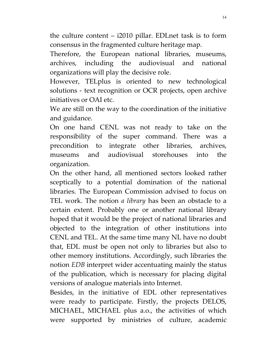the culture content – i2010 pillar. EDLnet task is to form consensus in the fragmented culture heritage map.

Therefore, the European national libraries, museums, archives, including the audiovisual and national organizations will play the decisive role.

However, TELplus is oriented to new technological solutions - text recognition or OCR projects, open archive initiatives or OAI etc.

We are still on the way to the coordination of the initiative and guidance.

On one hand CENL was not ready to take on the responsibility of the super command. There was a precondition to integrate other libraries, archives, museums and audiovisual storehouses into the organization.

On the other hand, all mentioned sectors looked rather sceptically to a potential domination of the national libraries. The European Commission advised to focus on TEL work. The notion *a library* has been an obstacle to a certain extent. Probably one or another national library hoped that it would be the project of national libraries and objected to the integration of other institutions into CENL and TEL. At the same time many NL have no doubt that, EDL must be open not only to libraries but also to other memory institutions. Accordingly, such libraries the notion EDB interpret wider accentuating mainly the status of the publication, which is necessary for placing digital versions of analogue materials into Internet.

Besides, in the initiative of EDL other representatives were ready to participate. Firstly, the projects DELOS, MICHAEL, MICHAEL plus a.o., the activities of which were supported by ministries of culture, academic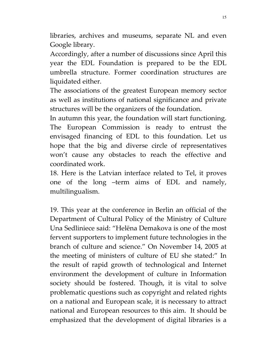libraries, archives and museums, separate NL and even Google library.

Accordingly, after a number of discussions since April this year the EDL Foundation is prepared to be the EDL umbrella structure. Former coordination structures are liquidated either.

The associations of the greatest European memory sector as well as institutions of national significance and private structures will be the organizers of the foundation.

In autumn this year, the foundation will start functioning. The European Commission is ready to entrust the envisaged financing of EDL to this foundation. Let us hope that the big and diverse circle of representatives won't cause any obstacles to reach the effective and coordinated work.

18. Here is the Latvian interface related to Tel, it proves one of the long –term aims of EDL and namely, multilingualism.

19. This year at the conference in Berlin an official of the Department of Cultural Policy of the Ministry of Culture Una Sedliniece said: "Helēna Demakova is one of the most fervent supporters to implement future technologies in the branch of culture and science." On November 14, 2005 at the meeting of ministers of culture of EU she stated:" In the result of rapid growth of technological and Internet environment the development of culture in Information society should be fostered. Though, it is vital to solve problematic questions such as copyright and related rights on a national and European scale, it is necessary to attract national and European resources to this aim. It should be emphasized that the development of digital libraries is a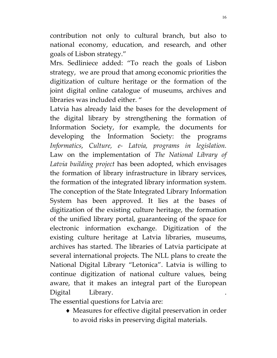contribution not only to cultural branch, but also to national economy, education, and research, and other goals of Lisbon strategy."

Mrs. Sedliniece added: "To reach the goals of Lisbon strategy, we are proud that among economic priorities the digitization of culture heritage or the formation of the joint digital online catalogue of museums, archives and libraries was included either. "

Latvia has already laid the bases for the development of the digital library by strengthening the formation of Information Society, for example, the documents for developing the Information Society: the programs Informatics, Culture, e- Latvia, programs in legislation. Law on the implementation of The National Library of Latvia building project has been adopted, which envisages the formation of library infrastructure in library services, the formation of the integrated library information system. The conception of the State Integrated Library Information System has been approved. It lies at the bases of digitization of the existing culture heritage, the formation of the unified library portal, guaranteeing of the space for electronic information exchange. Digitization of the existing culture heritage at Latvia libraries, museums, archives has started. The libraries of Latvia participate at several international projects. The NLL plans to create the National Digital Library "Letonica". Latvia is willing to continue digitization of national culture values, being aware, that it makes an integral part of the European Digital Library.

The essential questions for Latvia are:

♦ Measures for effective digital preservation in order to avoid risks in preserving digital materials.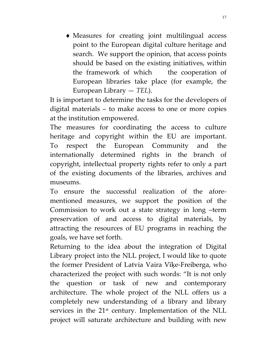♦ Measures for creating joint multilingual access point to the European digital culture heritage and search. We support the opinion, that access points should be based on the existing initiatives, within the framework of which the cooperation of European libraries take place (for example, the European Library  $-$  TEL).

It is important to determine the tasks for the developers of digital materials – to make access to one or more copies at the institution empowered.

The measures for coordinating the access to culture heritage and copyright within the EU are important. To respect the European Community and the internationally determined rights in the branch of copyright, intellectual property rights refer to only a part of the existing documents of the libraries, archives and museums.

To ensure the successful realization of the aforementioned measures, we support the position of the Commission to work out a state strategy in long –term preservation of and access to digital materials, by attracting the resources of EU programs in reaching the goals, we have set forth.

Returning to the idea about the integration of Digital Library project into the NLL project, I would like to quote the former President of Latvia Vaira Vīķe-Freiberga, who characterized the project with such words: "It is not only the question or task of new and contemporary architecture. The whole project of the NLL offers us a completely new understanding of a library and library services in the  $21<sup>st</sup>$  century. Implementation of the NLL project will saturate architecture and building with new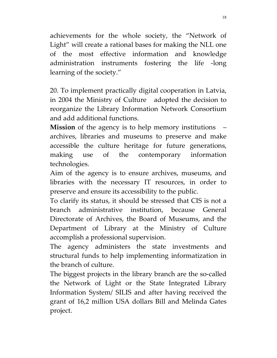achievements for the whole society, the "Network of Light" will create a rational bases for making the NLL one of the most effective information and knowledge administration instruments fostering the life -long learning of the society."

20. To implement practically digital cooperation in Latvia, in 2004 the Ministry of Culture adopted the decision to reorganize the Library Information Network Consortium and add additional functions.

**Mission** of the agency is to help memory institutions – archives, libraries and museums to preserve and make accessible the culture heritage for future generations, making use of the contemporary information technologies.

Aim of the agency is to ensure archives, museums, and libraries with the necessary IT resources, in order to preserve and ensure its accessibility to the public.

To clarify its status, it should be stressed that CIS is not a branch administrative institution, because General Directorate of Archives, the Board of Museums, and the Department of Library at the Ministry of Culture accomplish a professional supervision.

The agency administers the state investments and structural funds to help implementing informatization in the branch of culture.

The biggest projects in the library branch are the so-called the Network of Light or the State Integrated Library Information System/ SILIS and after having received the grant of 16,2 million USA dollars Bill and Melinda Gates project.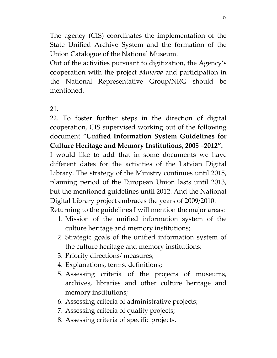The agency (CIS) coordinates the implementation of the State Unified Archive System and the formation of the Union Catalogue of the National Museum.

Out of the activities pursuant to digitization, the Agency's cooperation with the project Minerva and participation in the National Representative Group/NRG should be mentioned.

21.

22. To foster further steps in the direction of digital cooperation, CIS supervised working out of the following document "Unified Information System Guidelines for Culture Heritage and Memory Institutions, 2005 –2012".

I would like to add that in some documents we have different dates for the activities of the Latvian Digital Library. The strategy of the Ministry continues until 2015, planning period of the European Union lasts until 2013, but the mentioned guidelines until 2012. And the National Digital Library project embraces the years of 2009/2010.

Returning to the guidelines I will mention the major areas:

- 1. Mission of the unified information system of the culture heritage and memory institutions;
- 2. Strategic goals of the unified information system of the culture heritage and memory institutions;
- 3. Priority directions/ measures;
- 4. Explanations, terms, definitions;
- 5. Assessing criteria of the projects of museums, archives, libraries and other culture heritage and memory institutions;
- 6. Assessing criteria of administrative projects;
- 7. Assessing criteria of quality projects;
- 8. Assessing criteria of specific projects.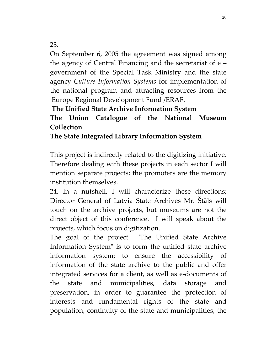23.

On September 6, 2005 the agreement was signed among the agency of Central Financing and the secretariat of e – government of the Special Task Ministry and the state agency Culture Information Systems for implementation of the national program and attracting resources from the Europe Regional Development Fund /ERAF.

#### The Unified State Archive Information System The Union Catalogue of the National Museum Collection

# The State Integrated Library Information System

This project is indirectly related to the digitizing initiative. Therefore dealing with these projects in each sector I will mention separate projects; the promoters are the memory institution themselves.

24. In a nutshell, I will characterize these directions; Director General of Latvia State Archives Mr. Štāls will touch on the archive projects, but museums are not the direct object of this conference. I will speak about the projects, which focus on digitization.

The goal of the project "The Unified State Archive Information System" is to form the unified state archive information system; to ensure the accessibility of information of the state archive to the public and offer integrated services for a client, as well as e-documents of the state and municipalities, data storage and preservation, in order to guarantee the protection of interests and fundamental rights of the state and population, continuity of the state and municipalities, the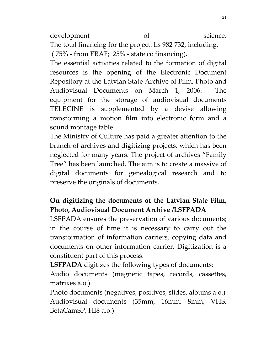The total financing for the project: Ls 982 732, including, ( 75% - from ERAF; 25% - state co financing).

The essential activities related to the formation of digital resources is the opening of the Electronic Document Repository at the Latvian State Archive of Film, Photo and Audiovisual Documents on March 1, 2006. The equipment for the storage of audiovisual documents TELECINE is supplemented by a devise allowing transforming a motion film into electronic form and a sound montage table.

The Ministry of Culture has paid a greater attention to the branch of archives and digitizing projects, which has been neglected for many years. The project of archives "Family Tree" has been launched. The aim is to create a massive of digital documents for genealogical research and to preserve the originals of documents.

# On digitizing the documents of the Latvian State Film, Photo, Audiovisual Document Archive /LSFPADA

LSFPADA ensures the preservation of various documents; in the course of time it is necessary to carry out the transformation of information carriers, copying data and documents on other information carrier. Digitization is a constituent part of this process.

LSFPADA digitizes the following types of documents:

Audio documents (magnetic tapes, records, cassettes, matrixes a.o.)

Photo documents (negatives, positives, slides, albums a.o.) Audiovisual documents (35mm, 16mm, 8mm, VHS, BetaCamSP, HI8 a.o.)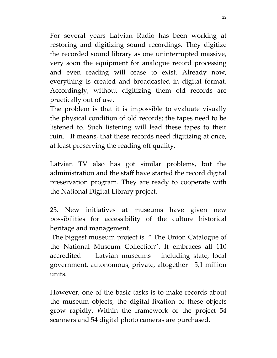For several years Latvian Radio has been working at restoring and digitizing sound recordings. They digitize the recorded sound library as one uninterrupted massive, very soon the equipment for analogue record processing and even reading will cease to exist. Already now, everything is created and broadcasted in digital format. Accordingly, without digitizing them old records are practically out of use.

The problem is that it is impossible to evaluate visually the physical condition of old records; the tapes need to be listened to. Such listening will lead these tapes to their ruin. It means, that these records need digitizing at once, at least preserving the reading off quality.

Latvian TV also has got similar problems, but the administration and the staff have started the record digital preservation program. They are ready to cooperate with the National Digital Library project.

25. New initiatives at museums have given new possibilities for accessibility of the culture historical heritage and management.

The biggest museum project is " The Union Catalogue of the National Museum Collection". It embraces all 110 accredited Latvian museums – including state, local government, autonomous, private, altogether 5,1 million units.

However, one of the basic tasks is to make records about the museum objects, the digital fixation of these objects grow rapidly. Within the framework of the project 54 scanners and 54 digital photo cameras are purchased.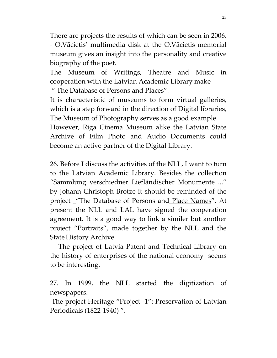There are projects the results of which can be seen in 2006. - O.Vācietis' multimedia disk at the O.Vācietis memorial museum gives an insight into the personality and creative biography of the poet.

The Museum of Writings, Theatre and Music in cooperation with the Latvian Academic Library make " The Database of Persons and Places".

It is characteristic of museums to form virtual galleries, which is a step forward in the direction of Digital libraries, The Museum of Photography serves as a good example.

However, Riga Cinema Museum alike the Latvian State Archive of Film Photo and Audio Documents could become an active partner of the Digital Library.

26. Before I discuss the activities of the NLL, I want to turn to the Latvian Academic Library. Besides the collection "Sammlung verschiedner Liefländischer Monumente ..." by Johann Christoph Brotze it should be reminded of the project \_ "The Database of Persons and <u>Place Names</u>". At present the NLL and LAL have signed the cooperation agreement. It is a good way to link a similer but another project "Portraits", made together by the NLL and the State History Archive.

 The project of Latvia Patent and Technical Library on the history of enterprises of the national economy seems to be interesting.

27. In 1999, the NLL started the digitization of newspapers.

 The project Heritage "Project -1": Preservation of Latvian Periodicals (1822-1940) ".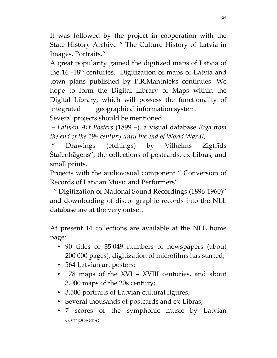It was followed by the project in cooperation with the State History Archive " The Culture History of Latvia in Images. Portraits."

A great popularity gained the digitized maps of Latvia of the 16 -18th centuries. Digitization of maps of Latvia and town plans published by P.R.Mantnieks continues. We hope to form the Digital Library of Maps within the Digital Library, which will possess the functionality of integrated geographical information system.

Several projects should be mentioned:

 – Latvian Art Posters (1899 –), a visual database Riga from the end of the  $19<sup>th</sup>$  century until the end of World War II,

 " Drawings (etchings) by Vilhelms Zigfrīds Štafenhāgens", the collections of postcards, ex-Libras, and small prints.

Projects with the audiovisual component " Conversion of Records of Latvian Music and Performers"

 " Digitization of National Sound Recordings (1896-1960)" and downloading of disco- graphic records into the NLL database are at the very outset.

At present 14 collections are available at the NLL home page:

- 90 titles or 35 049 numbers of newspapers (about 200 000 pages); digitization of microfilms has started;
- 564 Latvian art posters;
- 178 maps of the XVI XVIII centuries, and about 3.000 maps of the 20s century;
- 3.500 portraits of Latvian cultural figures;
- Several thousands of postcards and ex-Libras;
- 7 scores of the symphonic music by Latvian composers;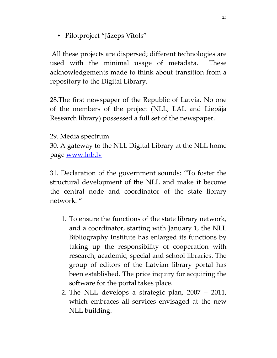• Pilotproject "Jāzeps Vītols"

 All these projects are dispersed; different technologies are used with the minimal usage of metadata. These acknowledgements made to think about transition from a repository to the Digital Library.

28.The first newspaper of the Republic of Latvia. No one of the members of the project (NLL, LAL and Liepāja Research library) possessed a full set of the newspaper.

29. Media spectrum

30. A gateway to the NLL Digital Library at the NLL home page <u>www.lnb.lv</u>

31. Declaration of the government sounds: "To foster the structural development of the NLL and make it become the central node and coordinator of the state library network. "

- 1. To ensure the functions of the state library network, and a coordinator, starting with January 1, the NLL Bibliography Institute has enlarged its functions by taking up the responsibility of cooperation with research, academic, special and school libraries. The group of editors of the Latvian library portal has been established. The price inquiry for acquiring the software for the portal takes place.
- 2. The NLL develops a strategic plan, 2007 2011, which embraces all services envisaged at the new NLL building.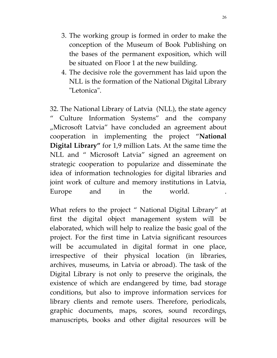- 3. The working group is formed in order to make the conception of the Museum of Book Publishing on the bases of the permanent exposition, which will be situated on Floor 1 at the new building.
- 4. The decisive role the government has laid upon the NLL is the formation of the National Digital Library "Letonica".

32. The National Library of Latvia (NLL), the state agency " Culture Information Systems" and the company "Microsoft Latvia" have concluded an agreement about cooperation in implementing the project "National Digital Library" for 1,9 million Lats. At the same time the NLL and " Microsoft Latvia" signed an agreement on strategic cooperation to popularize and disseminate the idea of information technologies for digital libraries and joint work of culture and memory institutions in Latvia, Europe and in the world.

What refers to the project " National Digital Library" at first the digital object management system will be elaborated, which will help to realize the basic goal of the project. For the first time in Latvia significant resources will be accumulated in digital format in one place, irrespective of their physical location (in libraries, archives, museums, in Latvia or abroad). The task of the Digital Library is not only to preserve the originals, the existence of which are endangered by time, bad storage conditions, but also to improve information services for library clients and remote users. Therefore, periodicals, graphic documents, maps, scores, sound recordings, manuscripts, books and other digital resources will be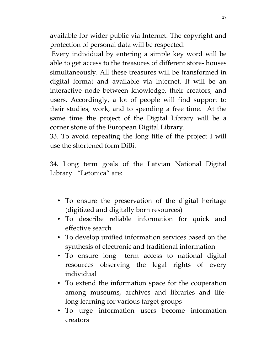available for wider public via Internet. The copyright and protection of personal data will be respected.

 Every individual by entering a simple key word will be able to get access to the treasures of different store- houses simultaneously. All these treasures will be transformed in digital format and available via Internet. It will be an interactive node between knowledge, their creators, and users. Accordingly, a lot of people will find support to their studies, work, and to spending a free time. At the same time the project of the Digital Library will be a corner stone of the European Digital Library.

33. To avoid repeating the long title of the project I will use the shortened form DiBi.

34. Long term goals of the Latvian National Digital Library "Letonica" are:

- To ensure the preservation of the digital heritage (digitized and digitally born resources)
- To describe reliable information for quick and effective search
- To develop unified information services based on the synthesis of electronic and traditional information
- To ensure long –term access to national digital resources observing the legal rights of every individual
- To extend the information space for the cooperation among museums, archives and libraries and lifelong learning for various target groups
- To urge information users become information creators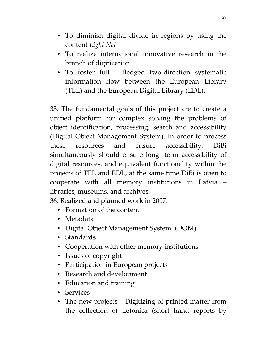- To diminish digital divide in regions by using the content Light Net
- To realize international innovative research in the branch of digitization
- To foster full fledged two-direction systematic information flow between the European Library (TEL) and the European Digital Library (EDL).

35. The fundamental goals of this project are to create a unified platform for complex solving the problems of object identification, processing, search and accessibility (Digital Object Management System). In order to process these resources and ensure accessibility, DiBi simultaneously should ensure long- term accessibility of digital resources, and equivalent functionality within the projects of TEL and EDL, at the same time DiBi is open to cooperate with all memory institutions in Latvia – libraries, museums, and archives.

36. Realized and planned work in 2007:

- Formation of the content
- Metadata
- Digital Object Management System (DOM)
- Standards
- Cooperation with other memory institutions
- Issues of copyright
- Participation in European projects
- Research and development
- Education and training
- Services
- The new projects Digitizing of printed matter from the collection of Letonica (short hand reports by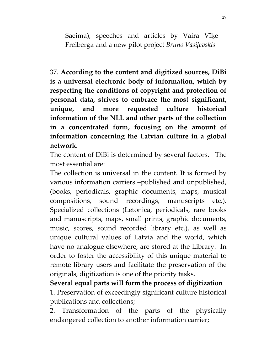Saeima), speeches and articles by Vaira Vīķe – Freiberga and a new pilot project Bruno Vasiļevskis

37. According to the content and digitized sources, DiBi is a universal electronic body of information, which by respecting the conditions of copyright and protection of personal data, strives to embrace the most significant, unique, and more requested culture historical information of the NLL and other parts of the collection in a concentrated form, focusing on the amount of information concerning the Latvian culture in a global network.

The content of DiBi is determined by several factors. The most essential are:

The collection is universal in the content. It is formed by various information carriers –published and unpublished, (books, periodicals, graphic documents, maps, musical compositions, sound recordings, manuscripts etc.). Specialized collections (Letonica, periodicals, rare books and manuscripts, maps, small prints, graphic documents, music, scores, sound recorded library etc.), as well as unique cultural values of Latvia and the world, which have no analogue elsewhere, are stored at the Library. In order to foster the accessibility of this unique material to remote library users and facilitate the preservation of the originals, digitization is one of the priority tasks.

Several equal parts will form the process of digitization

1. Preservation of exceedingly significant culture historical publications and collections;

2. Transformation of the parts of the physically endangered collection to another information carrier;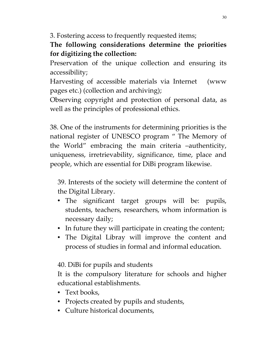3. Fostering access to frequently requested items;

## The following considerations determine the priorities for digitizing the collection:

Preservation of the unique collection and ensuring its accessibility;

Harvesting of accessible materials via Internet (www pages etc.) (collection and archiving);

Observing copyright and protection of personal data, as well as the principles of professional ethics.

38. One of the instruments for determining priorities is the national register of UNESCO program " The Memory of the World" embracing the main criteria –authenticity, uniqueness, irretrievability, significance, time, place and people, which are essential for DiBi program likewise.

39. Interests of the society will determine the content of the Digital Library.

- The significant target groups will be: pupils, students, teachers, researchers, whom information is necessary daily;
- In future they will participate in creating the content;
- The Digital Libray will improve the content and process of studies in formal and informal education.

40. DiBi for pupils and students

It is the compulsory literature for schools and higher educational establishments.

- Text books.
- Projects created by pupils and students,
- Culture historical documents,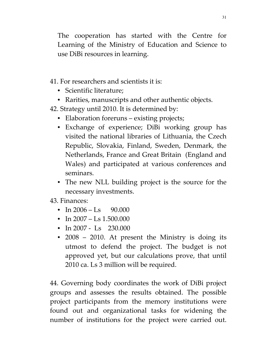The cooperation has started with the Centre for Learning of the Ministry of Education and Science to use DiBi resources in learning.

- 41. For researchers and scientists it is:
	- Scientific literature;
	- Rarities, manuscripts and other authentic objects.
- 42. Strategy until 2010. It is determined by:
	- Elaboration foreruns existing projects;
	- Exchange of experience; DiBi working group has visited the national libraries of Lithuania, the Czech Republic, Slovakia, Finland, Sweden, Denmark, the Netherlands, France and Great Britain (England and Wales) and participated at various conferences and seminars.
	- The new NLL building project is the source for the necessary investments.

43. Finances:

- In  $2006 1$  s 90.000
- In  $2007 \text{Ls} 1.500.000$
- In 2007 Ls 230.000
- 2008 2010. At present the Ministry is doing its utmost to defend the project. The budget is not approved yet, but our calculations prove, that until 2010 ca. Ls 3 million will be required.

44. Governing body coordinates the work of DiBi project groups and assesses the results obtained. The possible project participants from the memory institutions were found out and organizational tasks for widening the number of institutions for the project were carried out.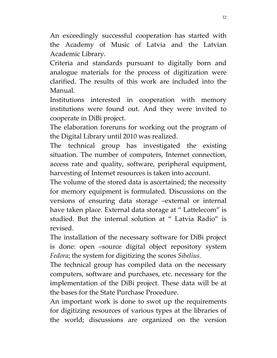An exceedingly successful cooperation has started with the Academy of Music of Latvia and the Latvian Academic Library.

Criteria and standards pursuant to digitally born and analogue materials for the process of digitization were clarified. The results of this work are included into the Manual.

Institutions interested in cooperation with memory institutions were found out. And they were invited to cooperate in DiBi project.

The elaboration foreruns for working out the program of the Digital Library until 2010 was realized.

The technical group has investigated the existing situation. The number of computers, Internet connection, access rate and quality, software, peripheral equipment, harvesting of Internet resources is taken into account.

The volume of the stored data is ascertained; the necessity for memory equipment is formulated. Discussions on the versions of ensuring data storage –external or internal have taken place. External data storage at " Lattelecom" is studied. But the internal solution at " Latvia Radio" is revised.

The installation of the necessary software for DiBi project is done: open –source digital object repository system Fedora; the system for digitizing the scores Sibelius.

The technical group has compiled data on the necessary computers, software and purchases, etc. necessary for the implementation of the DiBi project. These data will be at the bases for the State Purchase Procedure.

An important work is done to swot up the requirements for digitizing resources of various types at the libraries of the world; discussions are organized on the version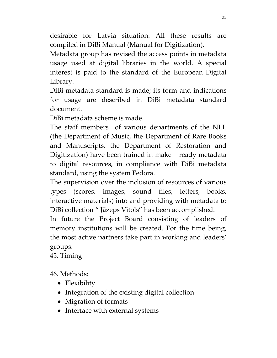desirable for Latvia situation. All these results are compiled in DiBi Manual (Manual for Digitization).

Metadata group has revised the access points in metadata usage used at digital libraries in the world. A special interest is paid to the standard of the European Digital Library.

DiBi metadata standard is made; its form and indications for usage are described in DiBi metadata standard document.

DiBi metadata scheme is made.

The staff members of various departments of the NLL (the Department of Music, the Department of Rare Books and Manuscripts, the Department of Restoration and Digitization) have been trained in make – ready metadata to digital resources, in compliance with DiBi metadata standard, using the system Fedora.

The supervision over the inclusion of resources of various types (scores, images, sound files, letters, books, interactive materials) into and providing with metadata to DiBi collection " Jāzeps Vītols" has been accomplished.

In future the Project Board consisting of leaders of memory institutions will be created. For the time being, the most active partners take part in working and leaders' groups.

45. Timing

46. Methods:

- Flexibility
- Integration of the existing digital collection
- Migration of formats
- Interface with external systems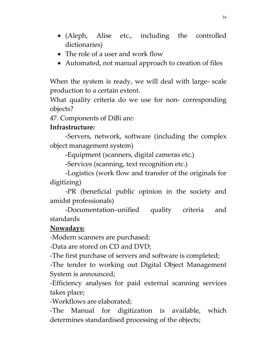- (Aleph, Alise etc., including the controlled dictionaries)
- The role of a user and work flow
- Automated, not manual approach to creation of files

When the system is ready, we will deal with large- scale production to a certain extent.

What quality criteria do we use for non- corresponding objects?

47. Components of DiBi are:

#### Infrastructure:

 -Servers, network, software (including the complex object management system)

-Equipment (scanners, digital cameras etc.)

-Services (scanning, text recognition etc.)

 -Logistics (work flow and transfer of the originals for digitizing)

 -PR (beneficial public opinion in the society and amidst professionals)

 -Documentation–unified quality criteria and standards

### Nowadays:

-Modern scanners are purchased;

-Data are stored on CD and DVD;

-The first purchase of servers and software is completed;

-The tender to working out Digital Object Management System is announced;

-Efficiency analyses for paid external scanning services takes place;

-Workflows are elaborated;

-The Manual for digitization is available, which determines standardised processing of the objects;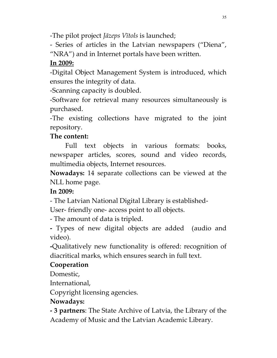-The pilot project Jāzeps Vītols is launched;

- Series of articles in the Latvian newspapers ("Diena", "NRA") and in Internet portals have been written.

# In 2009:

-Digital Object Management System is introduced, which ensures the integrity of data.

-Scanning capacity is doubled.

-Software for retrieval many resources simultaneously is purchased.

-The existing collections have migrated to the joint repository.

# The content:

Full text objects in various formats: books, newspaper articles, scores, sound and video records, multimedia objects, Internet resources.

Nowadays: 14 separate collections can be viewed at the NLL home page.

# In 2009:

- The Latvian National Digital Library is established-

User- friendly one- access point to all objects.

- The amount of data is tripled.

- Types of new digital objects are added (audio and video).

-Qualitatively new functionality is offered: recognition of diacritical marks, which ensures search in full text.

# Cooperation

Domestic,

International,

Copyright licensing agencies.

# Nowadays:

- 3 partners: The State Archive of Latvia, the Library of the Academy of Music and the Latvian Academic Library.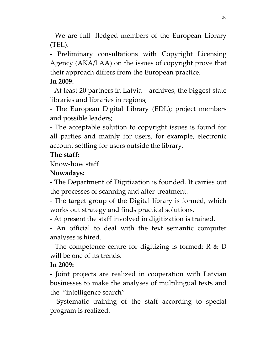- We are full -fledged members of the European Library (TEL).

- Preliminary consultations with Copyright Licensing Agency (AKA/LAA) on the issues of copyright prove that their approach differs from the European practice.

## In 2009:

- At least 20 partners in Latvia – archives, the biggest state libraries and libraries in regions;

- The European Digital Library (EDL); project members and possible leaders;

- The acceptable solution to copyright issues is found for all parties and mainly for users, for example, electronic account settling for users outside the library.

## The staff:

Know-how staff

## Nowadays:

- The Department of Digitization is founded. It carries out the processes of scanning and after-treatment.

- The target group of the Digital library is formed, which works out strategy and finds practical solutions.

- At present the staff involved in digitization is trained.

- An official to deal with the text semantic computer analyses is hired.

- The competence centre for digitizing is formed; R & D will be one of its trends.

## In 2009:

- Joint projects are realized in cooperation with Latvian businesses to make the analyses of multilingual texts and the "intelligence search"

- Systematic training of the staff according to special program is realized.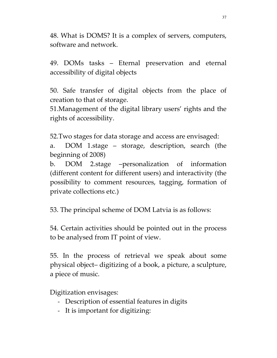48. What is DOMS? It is a complex of servers, computers, software and network.

49. DOMs tasks – Eternal preservation and eternal accessibility of digital objects

50. Safe transfer of digital objects from the place of creation to that of storage.

51.Management of the digital library users' rights and the rights of accessibility.

52.Two stages for data storage and access are envisaged:

a. DOM 1.stage – storage, description, search (the beginning of 2008)

b. DOM 2.stage –personalization of information (different content for different users) and interactivity (the possibility to comment resources, tagging, formation of private collections etc.)

53. The principal scheme of DOM Latvia is as follows:

54. Certain activities should be pointed out in the process to be analysed from IT point of view.

55. In the process of retrieval we speak about some physical object– digitizing of a book, a picture, a sculpture, a piece of music.

Digitization envisages:

- Description of essential features in digits
- It is important for digitizing: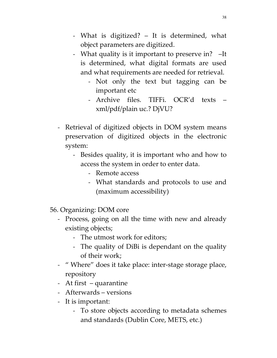- What is digitized? It is determined, what object parameters are digitized.
- What quality is it important to preserve in? –It is determined, what digital formats are used and what requirements are needed for retrieval.
	- Not only the text but tagging can be important etc
	- Archive files. TIFFi. OCR'd texts xml/pdf/plain uc.? DjVU?
- Retrieval of digitized objects in DOM system means preservation of digitized objects in the electronic system:
	- Besides quality, it is important who and how to access the system in order to enter data.
		- Remote access
		- What standards and protocols to use and (maximum accessibility)
- 56. Organizing: DOM core
	- Process, going on all the time with new and already existing objects;
		- The utmost work for editors;
		- The quality of DiBi is dependant on the quality of their work;
	- " Where" does it take place: inter-stage storage place, repository
	- At first quarantine
	- Afterwards versions
	- It is important:
		- To store objects according to metadata schemes and standards (Dublin Core, METS, etc.)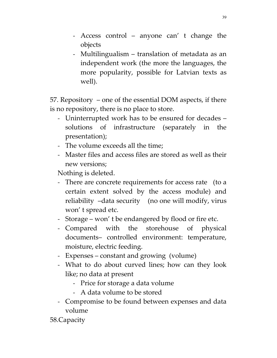- Access control anyone can' t change the objects
- Multilingualism translation of metadata as an independent work (the more the languages, the more popularity, possible for Latvian texts as well).

57. Repository – one of the essential DOM aspects, if there is no repository, there is no place to store.

- Uninterrupted work has to be ensured for decades solutions of infrastructure (separately in the presentation);
- The volume exceeds all the time;
- Master files and access files are stored as well as their new versions;

Nothing is deleted.

- There are concrete requirements for access rate (to a certain extent solved by the access module) and reliability –data security (no one will modify, virus won' t spread etc.
- Storage won' t be endangered by flood or fire etc.
- Compared with the storehouse of physical documents– controlled environment: temperature, moisture, electric feeding.
- Expenses constant and growing (volume)
- What to do about curved lines; how can they look like; no data at present
	- Price for storage a data volume
	- A data volume to be stored
- Compromise to be found between expenses and data volume

58.Capacity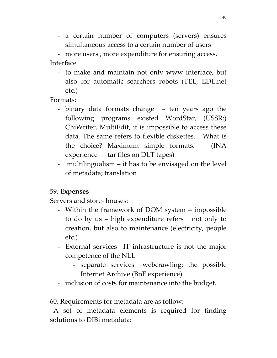- a certain number of computers (servers) ensures simultaneous access to a certain number of users

- more users , more expenditure for ensuring access. Interface

- to make and maintain not only www interface, but also for automatic searchers robots (TEL, EDL.net etc.)

Formats:

- binary data formats change ten years ago the following programs existed WordStar, (USSR:) ChiWriter, MultiEdit, it is impossible to access these data. The same refers to flexible diskettes. What is the choice? Maximum simple formats. (INA experience – tar files on DLT tapes)
- multilingualism it has to be envisaged on the level of metadata; translation

## 59. Expenses

Servers and store- houses:

- Within the framework of DOM system impossible to do by us – high expenditure refers not only to creation, but also to maintenance (electricity, people etc.)
- External services –IT infrastructure is not the major competence of the NLL
	- separate services –webcrawling; the possible Internet Archive (BnF experience)
- inclusion of costs for maintenance into the budget.

60. Requirements for metadata are as follow:

 A set of metadata elements is required for finding solutions to DIBi metadata: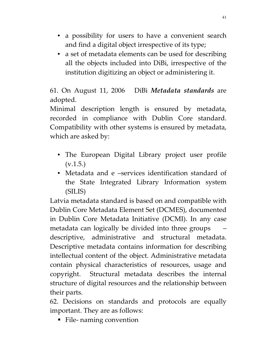- a possibility for users to have a convenient search and find a digital object irrespective of its type;
- a set of metadata elements can be used for describing all the objects included into DiBi, irrespective of the institution digitizing an object or administering it.

61. On August 11, 2006 DiBi Metadata standards are adopted.

Minimal description length is ensured by metadata, recorded in compliance with Dublin Core standard. Compatibility with other systems is ensured by metadata, which are asked by:

- The European Digital Library project user profile  $(v.1.5.)$
- Metadata and e –services identification standard of the State Integrated Library Information system (SILIS)

Latvia metadata standard is based on and compatible with Dublin Core Metadata Element Set (DCMES), documented in Dublin Core Metadata Initiative (DCMI). In any case metadata can logically be divided into three groups – descriptive, administrative and structural metadata. Descriptive metadata contains information for describing intellectual content of the object. Administrative metadata contain physical characteristics of resources, usage and copyright. Structural metadata describes the internal structure of digital resources and the relationship between their parts.

62. Decisions on standards and protocols are equally important. They are as follows:

■ File- naming convention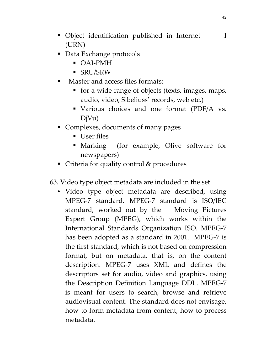- Object identification published in Internet I (URN)
- Data Exchange protocols
	- OAI-PMH
	- SRU/SRW
- Master and access files formats:
	- for a wide range of objects (texts, images, maps, audio, video, Sibeliuss' records, web etc.)
	- Various choices and one format (PDF/A vs. DjVu)
- **Complexes, documents of many pages** 
	- User files
	- Marking (for example, Olive software for newspapers)
- Criteria for quality control & procedures
- 63. Video type object metadata are included in the set
	- Video type object metadata are described, using MPEG-7 standard. MPEG-7 standard is ISO/IEC standard, worked out by the Moving Pictures Expert Group (MPEG), which works within the International Standards Organization ISO. MPEG-7 has been adopted as a standard in 2001. MPEG-7 is the first standard, which is not based on compression format, but on metadata, that is, on the content description. MPEG-7 uses XML and defines the descriptors set for audio, video and graphics, using the Description Definition Language DDL. MPEG-7 is meant for users to search, browse and retrieve audiovisual content. The standard does not envisage, how to form metadata from content, how to process metadata.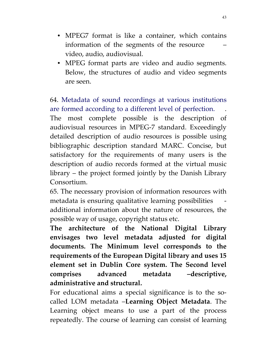- MPEG7 format is like a container, which contains information of the segments of the resource – video, audio, audiovisual.
- MPEG format parts are video and audio segments. Below, the structures of audio and video segments are seen.

64. Metadata of sound recordings at various institutions are formed according to a different level of perfection. .

The most complete possible is the description of audiovisual resources in MPEG-7 standard. Exceedingly detailed description of audio resources is possible using bibliographic description standard MARC. Concise, but satisfactory for the requirements of many users is the description of audio records formed at the virtual music library – the project formed jointly by the Danish Library Consortium.

65. The necessary provision of information resources with metadata is ensuring qualitative learning possibilities additional information about the nature of resources, the possible way of usage, copyright status etc.

The architecture of the National Digital Library envisages two level metadata adjusted for digital documents. The Minimum level corresponds to the requirements of the European Digital library and uses 15 element set in Dublin Core system. The Second level comprises advanced metadata –descriptive, administrative and structural.

For educational aims a special significance is to the socalled LOM metadata –Learning Object Metadata. The Learning object means to use a part of the process repeatedly. The course of learning can consist of learning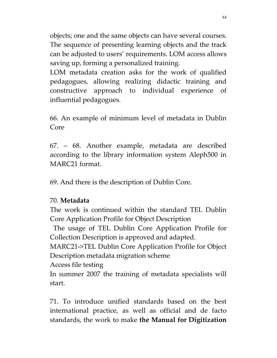objects; one and the same objects can have several courses. The sequence of presenting learning objects and the track can be adjusted to users' requirements. LOM access allows saving up, forming a personalized training.

LOM metadata creation asks for the work of qualified pedagogues, allowing realizing didactic training and constructive approach to individual experience of influential pedagogues.

66. An example of minimum level of metadata in Dublin Core

67. – 68. Another example, metadata are described according to the library information system Aleph500 in MARC21 format.

69. And there is the description of Dublin Core.

## 70. Metadata

The work is continued within the standard TEL Dublin Core Application Profile for Object Description

 The usage of TEL Dublin Core Application Profile for Collection Description is approved and adapted.

MARC21->TEL Dublin Core Application Profile for Object Description metadata migration scheme

Access file testing

In summer 2007 the training of metadata specialists will start.

71. To introduce unified standards based on the best international practice, as well as official and de facto standards, the work to make the Manual for Digitization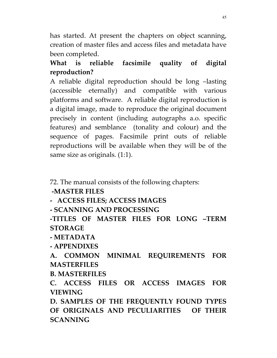has started. At present the chapters on object scanning, creation of master files and access files and metadata have been completed.

# What is reliable facsimile quality of digital reproduction?

A reliable digital reproduction should be long –lasting (accessible eternally) and compatible with various platforms and software. A reliable digital reproduction is a digital image, made to reproduce the original document precisely in content (including autographs a.o. specific features) and semblance (tonality and colour) and the sequence of pages. Facsimile print outs of reliable reproductions will be available when they will be of the same size as originals. (1:1).

72. The manual consists of the following chapters:

## -MASTER FILES

- ACCESS FILES; ACCESS IMAGES

- SCANNING AND PROCESSING

-TITLES OF MASTER FILES FOR LONG –TERM STORAGE

- METADATA

- APPENDIXES

A. COMMON MINIMAL REQUIREMENTS FOR MASTERFILES

B. MASTERFILES

C. ACCESS FILES OR ACCESS IMAGES FOR VIEWING

D. SAMPLES OF THE FREQUENTLY FOUND TYPES OF ORIGINALS AND PECULIARITIES OF THEIR SCANNING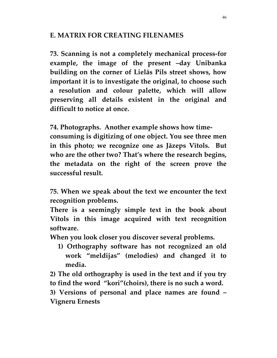### E. MATRIX FOR CREATING FILENAMES

73. Scanning is not a completely mechanical process-for example, the image of the present –day Unibanka building on the corner of Lielās Pils street shows, how important it is to investigate the original, to choose such a resolution and colour palette, which will allow preserving all details existent in the original and difficult to notice at once.

74. Photographs. Another example shows how time-

consuming is digitizing of one object. You see three men in this photo; we recognize one as Jāzeps Vītols. But who are the other two? That's where the research begins, the metadata on the right of the screen prove the successful result.

75. When we speak about the text we encounter the text recognition problems.

There is a seemingly simple text in the book about Vītols in this image acquired with text recognition software.

When you look closer you discover several problems.

- 1) Orthography software has not recognized an old work "meldijas" (melodies) and changed it to media.
- 2) The old orthography is used in the text and if you try to find the word "kori"(choirs), there is no such a word.

3) Versions of personal and place names are found – Vīgneru Ernests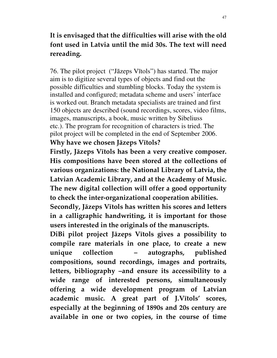## It is envisaged that the difficulties will arise with the old font used in Latvia until the mid 30s. The text will need rereading.

76. The pilot project ("Jāzeps Vītols") has started. The major aim is to digitize several types of objects and find out the possible difficulties and stumbling blocks. Today the system is installed and configured; metadata scheme and users' interface is worked out. Branch metadata specialists are trained and first 150 objects are described (sound recordings, scores, video films, images, manuscripts, a book, music written by Sibeliuss etc.). The program for recognition of characters is tried. The pilot project will be completed in the end of September 2006.

#### Why have we chosen Jāzeps Vītols?

Firstly, Jāzeps Vītols has been a very creative composer. His compositions have been stored at the collections of various organizations: the National Library of Latvia, the Latvian Academic Library, and at the Academy of Music. The new digital collection will offer a good opportunity to check the inter-organizational cooperation abilities.

Secondly, Jāzeps Vītols has written his scores and letters in a calligraphic handwriting, it is important for those users interested in the originals of the manuscripts.

DiBi pilot project Jāzeps Vītols gives a possibility to compile rare materials in one place, to create a new unique collection – autographs, published compositions, sound recordings, images and portraits, letters, bibliography –and ensure its accessibility to a wide range of interested persons, simultaneously offering a wide development program of Latvian academic music. A great part of J.Vītols' scores, especially at the beginning of 1890s and 20s century are available in one or two copies, in the course of time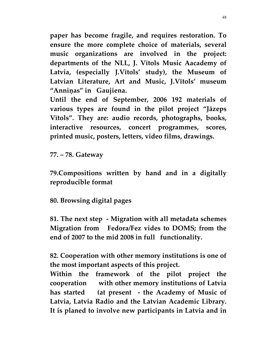paper has become fragile, and requires restoration. To ensure the more complete choice of materials, several music organizations are involved in the project: departments of the NLL, J. Vītols Music Aacademy of Latvia, (especially J.Vītols' study), the Museum of Latvian Literature, Art and Music, J.Vītols' museum "Anniņas" in Gaujiena.

Until the end of September, 2006 192 materials of various types are found in the pilot project "Jāzeps Vītols". They are: audio records, photographs, books, interactive resources, concert programmes, scores, printed music, posters, letters, video films, drawings.

77. – 78. Gateway

79.Compositions written by hand and in a digitally reproducible format

80. Browsing digital pages

81. The next step - Migration with all metadata schemes Migration from Fedora/Fez vides to DOMS; from the end of 2007 to the mid 2008 in full functionality.

82. Cooperation with other memory institutions is one of the most important aspects of this project.

Within the framework of the pilot project the cooperation with other memory institutions of Latvia has started (at present - the Academy of Music of Latvia, Latvia Radio and the Latvian Academic Library. It is planed to involve new participants in Latvia and in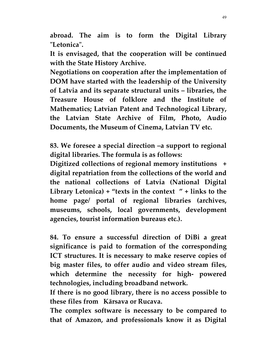abroad. The aim is to form the Digital Library "Letonica".

It is envisaged, that the cooperation will be continued with the State History Archive.

Negotiations on cooperation after the implementation of DOM have started with the leadership of the University of Latvia and its separate structural units – libraries, the Treasure House of folklore and the Institute of Mathematics; Latvian Patent and Technological Library, the Latvian State Archive of Film, Photo, Audio Documents, the Museum of Cinema, Latvian TV etc.

83. We foresee a special direction –a support to regional digital libraries. The formula is as follows:

Digitized collections of regional memory institutions + digital repatriation from the collections of the world and the national collections of Latvia (National Digital Library Letonica) + "texts in the context  $"$  + links to the home page/ portal of regional libraries (archives, museums, schools, local governments, development agencies, tourist information bureaus etc.).

84. To ensure a successful direction of DiBi a great significance is paid to formation of the corresponding ICT structures. It is necessary to make reserve copies of big master files, to offer audio and video stream files, which determine the necessity for high- powered technologies, including broadband network.

If there is no good library, there is no access possible to these files from Kārsava or Rucava.

The complex software is necessary to be compared to that of Amazon, and professionals know it as Digital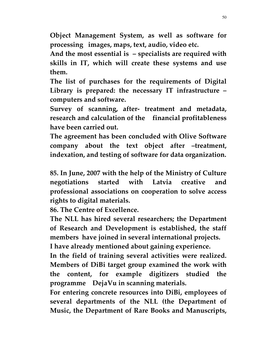Object Management System, as well as software for processing images, maps, text, audio, video etc.

And the most essential is – specialists are required with skills in IT, which will create these systems and use them.

The list of purchases for the requirements of Digital Library is prepared: the necessary IT infrastructure – computers and software.

Survey of scanning, after- treatment and metadata, research and calculation of the financial profitableness have been carried out.

The agreement has been concluded with Olive Software company about the text object after –treatment, indexation, and testing of software for data organization.

85. In June, 2007 with the help of the Ministry of Culture negotiations started with Latvia creative and professional associations on cooperation to solve access rights to digital materials.

86. The Centre of Excellence.

The NLL has hired several researchers; the Department of Research and Development is established, the staff members have joined in several international projects.

I have already mentioned about gaining experience.

In the field of training several activities were realized. Members of DiBi target group examined the work with the content, for example digitizers studied the programme DejaVu in scanning materials.

For entering concrete resources into DiBi, employees of several departments of the NLL (the Department of Music, the Department of Rare Books and Manuscripts,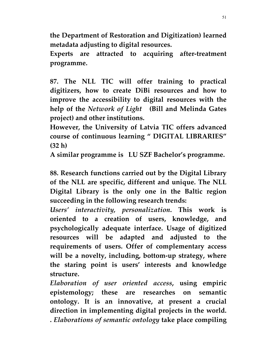the Department of Restoration and Digitization) learned metadata adjusting to digital resources.

Experts are attracted to acquiring after-treatment programme.

87. The NLL TIC will offer training to practical digitizers, how to create DiBi resources and how to improve the accessibility to digital resources with the help of the Network of Light (Bill and Melinda Gates project) and other institutions.

However, the University of Latvia TIC offers advanced course of continuous learning " DIGITAL LIBRARIES" (32 h)

A similar programme is LU SZF Bachelor's programme.

88. Research functions carried out by the Digital Library of the NLL are specific, different and unique. The NLL Digital Library is the only one in the Baltic region succeeding in the following research trends:

Users' interactivity, personalization. This work is oriented to a creation of users, knowledge, and psychologically adequate interface. Usage of digitized resources will be adapted and adjusted to the requirements of users. Offer of complementary access will be a novelty, including, bottom-up strategy, where the staring point is users' interests and knowledge structure.

Elaboration of user oriented access, using empiric epistemology; these are researches on semantic ontology. It is an innovative, at present a crucial direction in implementing digital projects in the world. . Elaborations of semantic ontology take place compiling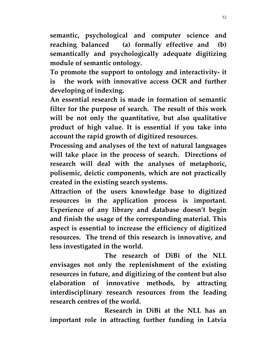semantic, psychological and computer science and reaching balanced (a) formally effective and (b) semantically and psychologically adequate digitizing module of semantic ontology.

To promote the support to ontology and interactivity- it is the work with innovative access OCR and further developing of indexing.

An essential research is made in formation of semantic filter for the purpose of search. The result of this work will be not only the quantitative, but also qualitative product of high value. It is essential if you take into account the rapid growth of digitized resources.

Processing and analyses of the text of natural languages will take place in the process of search. Directions of research will deal with the analyses of metaphoric, polisemic, deictic components, which are not practically created in the existing search systems.

Attraction of the users knowledge base to digitized resources in the application process is important. Experience of any library and database doesn't begin and finish the usage of the corresponding material. This aspect is essential to increase the efficiency of digitized resources. The trend of this research is innovative, and less investigated in the world.

 The research of DiBi of the NLL envisages not only the replenishment of the existing resources in future, and digitizing of the content but also elaboration of innovative methods, by attracting interdisciplinary research resources from the leading research centres of the world.

 Research in DiBi at the NLL has an important role in attracting further funding in Latvia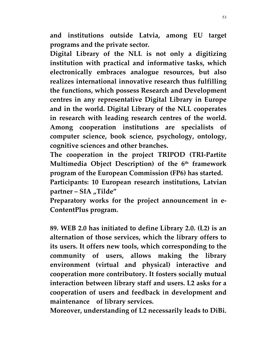and institutions outside Latvia, among EU target programs and the private sector.

Digital Library of the NLL is not only a digitizing institution with practical and informative tasks, which electronically embraces analogue resources, but also realizes international innovative research thus fulfilling the functions, which possess Research and Development centres in any representative Digital Library in Europe and in the world. Digital Library of the NLL cooperates in research with leading research centres of the world. Among cooperation institutions are specialists of computer science, book science, psychology, ontology, cognitive sciences and other branches.

The cooperation in the project TRIPOD (TRI-Partite Multimedia Object Description) of the 6<sup>th</sup> framework program of the European Commission (FP6) has started.

Participants: 10 European research institutions, Latvian partner –  $SIA$  "Tilde"

Preparatory works for the project announcement in e-ContentPlus program.

89. WEB 2.0 has initiated to define Library 2.0. (L2) is an alternation of those services, which the library offers to its users. It offers new tools, which corresponding to the community of users, allows making the library environment (virtual and physical) interactive and cooperation more contributory. It fosters socially mutual interaction between library staff and users. L2 asks for a cooperation of users and feedback in development and maintenance of library services.

Moreover, understanding of L2 necessarily leads to DiBi.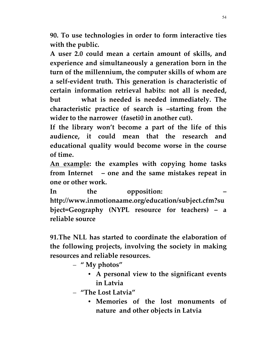90. To use technologies in order to form interactive ties with the public.

A user 2.0 could mean a certain amount of skills, and experience and simultaneously a generation born in the turn of the millennium, the computer skills of whom are a self-evident truth. This generation is characteristic of certain information retrieval habits: not all is needed, but what is needed is needed immediately. The characteristic practice of search is –starting from the wider to the narrower (faseti0 in another cut).

If the library won't become a part of the life of this audience, it could mean that the research and educational quality would become worse in the course of time.

An example: the examples with copying home tasks from Internet – one and the same mistakes repeat in one or other work.

In the opposition: http://www.inmotionaame.org/education/subject.cfm?su bject=Geography (NYPL resource for teachers) – a reliable source

91.The NLL has started to coordinate the elaboration of the following projects, involving the society in making resources and reliable resources.

– " My photos"

• A personal view to the significant events in Latvia

– "The Lost Latvia"

• Memories of the lost monuments of nature and other objects in Latvia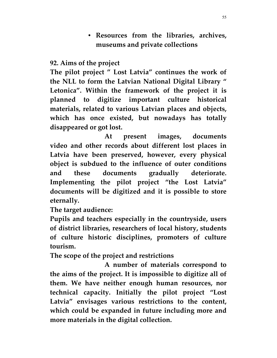• Resources from the libraries, archives, museums and private collections

92. Aims of the project

The pilot project " Lost Latvia" continues the work of the NLL to form the Latvian National Digital Library " Letonica". Within the framework of the project it is planned to digitize important culture historical materials, related to various Latvian places and objects, which has once existed, but nowadays has totally disappeared or got lost.

 At present images, documents video and other records about different lost places in Latvia have been preserved, however, every physical object is subdued to the influence of outer conditions and these documents gradually deteriorate. Implementing the pilot project "the Lost Latvia" documents will be digitized and it is possible to store eternally.

The target audience:

Pupils and teachers especially in the countryside, users of district libraries, researchers of local history, students of culture historic disciplines, promoters of culture tourism.

The scope of the project and restrictions

 A number of materials correspond to the aims of the project. It is impossible to digitize all of them. We have neither enough human resources, nor technical capacity. Initially the pilot project "Lost Latvia" envisages various restrictions to the content, which could be expanded in future including more and more materials in the digital collection.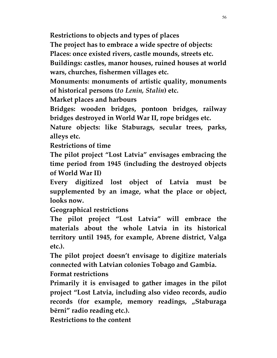Restrictions to objects and types of places

The project has to embrace a wide spectre of objects:

Places: once existed rivers, castle mounds, streets etc.

Buildings: castles, manor houses, ruined houses at world wars, churches, fishermen villages etc.

Monuments: monuments of artistic quality, monuments of historical persons (to Lenin, Stalin) etc.

Market places and harbours

Bridges: wooden bridges, pontoon bridges, railway bridges destroyed in World War II, rope bridges etc.

Nature objects: like Staburags, secular trees, parks, alleys etc.

Restrictions of time

The pilot project "Lost Latvia" envisages embracing the time period from 1945 (including the destroyed objects of World War II)

Every digitized lost object of Latvia must be supplemented by an image, what the place or object, looks now.

Geographical restrictions

The pilot project "Lost Latvia" will embrace the materials about the whole Latvia in its historical territory until 1945, for example, Abrene district, Valga etc.).

The pilot project doesn't envisage to digitize materials connected with Latvian colonies Tobago and Gambia.

Format restrictions

Primarily it is envisaged to gather images in the pilot project "Lost Latvia, including also video records, audio records (for example, memory readings, "Staburaga bērni" radio reading etc.).

Restrictions to the content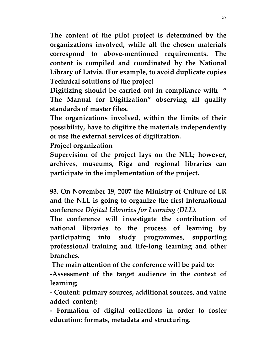The content of the pilot project is determined by the organizations involved, while all the chosen materials correspond to above-mentioned requirements. The content is compiled and coordinated by the National Library of Latvia. (For example, to avoid duplicate copies Technical solutions of the project

Digitizing should be carried out in compliance with " The Manual for Digitization" observing all quality standards of master files.

The organizations involved, within the limits of their possibility, have to digitize the materials independently or use the external services of digitization.

Project organization

Supervision of the project lays on the NLL; however, archives, museums, Riga and regional libraries can participate in the implementation of the project.

93. On November 19, 2007 the Ministry of Culture of LR and the NLL is going to organize the first international conference Digital Libraries for Learning (DLL).

The conference will investigate the contribution of national libraries to the process of learning by participating into study programmes, supporting professional training and life-long learning and other branches.

The main attention of the conference will be paid to:

-Assessment of the target audience in the context of learning;

- Content: primary sources, additional sources, and value added content;

- Formation of digital collections in order to foster education: formats, metadata and structuring.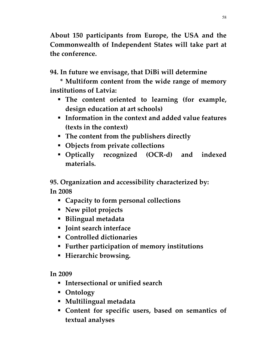About 150 participants from Europe, the USA and the Commonwealth of Independent States will take part at the conference.

94. In future we envisage, that DiBi will determine

 \* Multiform content from the wide range of memory institutions of Latvia:

- The content oriented to learning (for example, design education at art schools)
- Information in the context and added value features (texts in the context)
- The content from the publishers directly
- Objects from private collections
- Optically recognized (OCR-d) and indexed materials.

95. Organization and accessibility characterized by: In 2008

- Capacity to form personal collections
- **New pilot projects**
- Bilingual metadata
- **Joint search interface**
- Controlled dictionaries
- Further participation of memory institutions
- **Hierarchic browsing.**

In 2009

- **Intersectional or unified search**
- Ontology
- Multilingual metadata
- Content for specific users, based on semantics of textual analyses